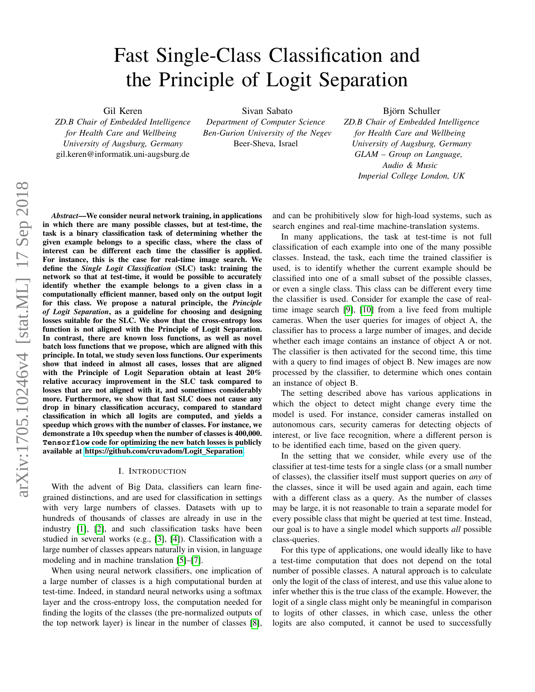# Fast Single-Class Classification and the Principle of Logit Separation

Gil Keren

*ZD.B Chair of Embedded Intelligence for Health Care and Wellbeing University of Augsburg, Germany* gil.keren@informatik.uni-augsburg.de Sivan Sabato

*Department of Computer Science Ben-Gurion University of the Negev* Beer-Sheva, Israel

Björn Schuller

*ZD.B Chair of Embedded Intelligence for Health Care and Wellbeing University of Augsburg, Germany GLAM – Group on Language, Audio & Music Imperial College London, UK*

*Abstract*—We consider neural network training, in applications in which there are many possible classes, but at test-time, the task is a binary classification task of determining whether the given example belongs to a specific class, where the class of interest can be different each time the classifier is applied. For instance, this is the case for real-time image search. We define the *Single Logit Classification* (SLC) task: training the network so that at test-time, it would be possible to accurately identify whether the example belongs to a given class in a computationally efficient manner, based only on the output logit for this class. We propose a natural principle, the *Principle of Logit Separation*, as a guideline for choosing and designing losses suitable for the SLC. We show that the cross-entropy loss function is not aligned with the Principle of Logit Separation. In contrast, there are known loss functions, as well as novel batch loss functions that we propose, which are aligned with this principle. In total, we study seven loss functions. Our experiments show that indeed in almost all cases, losses that are aligned with the Principle of Logit Separation obtain at least 20% relative accuracy improvement in the SLC task compared to losses that are not aligned with it, and sometimes considerably more. Furthermore, we show that fast SLC does not cause any drop in binary classification accuracy, compared to standard classification in which all logits are computed, and yields a speedup which grows with the number of classes. For instance, we demonstrate a 10x speedup when the number of classes is 400,000. **Tensorflow** code for optimizing the new batch losses is publicly available at [https://github.com/cruvadom/Logit](https://github.com/cruvadom/Logit_Separation) Separation.

# I. INTRODUCTION

<span id="page-0-0"></span>With the advent of Big Data, classifiers can learn finegrained distinctions, and are used for classification in settings with very large numbers of classes. Datasets with up to hundreds of thousands of classes are already in use in the industry [\[1\]](#page-9-0), [\[2\]](#page-9-1), and such classification tasks have been studied in several works (e.g., [\[3\]](#page-9-2), [\[4\]](#page-9-3)). Classification with a large number of classes appears naturally in vision, in language modeling and in machine translation [\[5\]](#page-9-4)–[\[7\]](#page-9-5).

When using neural network classifiers, one implication of a large number of classes is a high computational burden at test-time. Indeed, in standard neural networks using a softmax layer and the cross-entropy loss, the computation needed for finding the logits of the classes (the pre-normalized outputs of the top network layer) is linear in the number of classes [\[8\]](#page-9-6), and can be prohibitively slow for high-load systems, such as search engines and real-time machine-translation systems.

In many applications, the task at test-time is not full classification of each example into one of the many possible classes. Instead, the task, each time the trained classifier is used, is to identify whether the current example should be classified into one of a small subset of the possible classes, or even a single class. This class can be different every time the classifier is used. Consider for example the case of realtime image search [\[9\]](#page-9-7), [\[10\]](#page-9-8) from a live feed from multiple cameras. When the user queries for images of object A, the classifier has to process a large number of images, and decide whether each image contains an instance of object A or not. The classifier is then activated for the second time, this time with a query to find images of object B. New images are now processed by the classifier, to determine which ones contain an instance of object B.

The setting described above has various applications in which the object to detect might change every time the model is used. For instance, consider cameras installed on autonomous cars, security cameras for detecting objects of interest, or live face recognition, where a different person is to be identified each time, based on the given query.

In the setting that we consider, while every use of the classifier at test-time tests for a single class (or a small number of classes), the classifier itself must support queries on *any* of the classes, since it will be used again and again, each time with a different class as a query. As the number of classes may be large, it is not reasonable to train a separate model for every possible class that might be queried at test time. Instead, our goal is to have a single model which supports *all* possible class-queries.

For this type of applications, one would ideally like to have a test-time computation that does not depend on the total number of possible classes. A natural approach is to calculate only the logit of the class of interest, and use this value alone to infer whether this is the true class of the example. However, the logit of a single class might only be meaningful in comparison to logits of other classes, in which case, unless the other logits are also computed, it cannot be used to successfully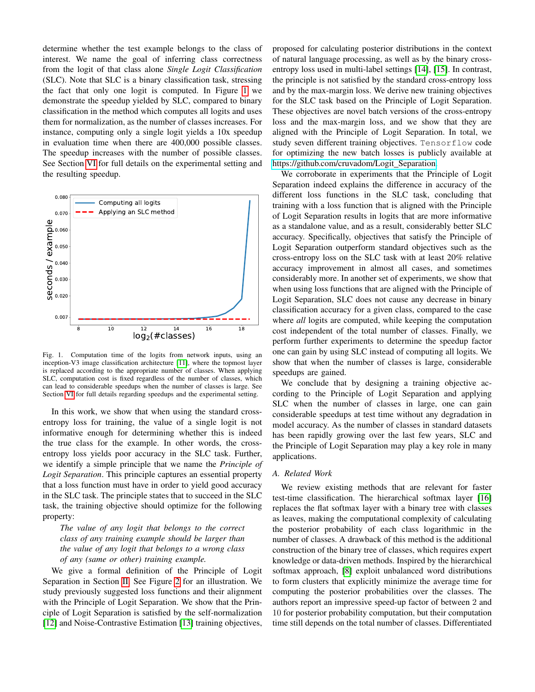determine whether the test example belongs to the class of interest. We name the goal of inferring class correctness from the logit of that class alone *Single Logit Classification* (SLC). Note that SLC is a binary classification task, stressing the fact that only one logit is computed. In Figure [1](#page-1-0) we demonstrate the speedup yielded by SLC, compared to binary classification in the method which computes all logits and uses them for normalization, as the number of classes increases. For instance, computing only a single logit yields a 10x speedup in evaluation time when there are 400,000 possible classes. The speedup increases with the number of possible classes. See Section [VI](#page-5-0) for full details on the experimental setting and the resulting speedup.



<span id="page-1-0"></span>Fig. 1. Computation time of the logits from network inputs, using an inception-V3 image classification architecture [\[11\]](#page-9-9), where the topmost layer is replaced according to the appropriate number of classes. When applying SLC, computation cost is fixed regardless of the number of classes, which can lead to considerable speedups when the number of classes is large. See Section [VI](#page-5-0) for full details regarding speedups and the experimental setting.

In this work, we show that when using the standard crossentropy loss for training, the value of a single logit is not informative enough for determining whether this is indeed the true class for the example. In other words, the crossentropy loss yields poor accuracy in the SLC task. Further, we identify a simple principle that we name the *Principle of Logit Separation*. This principle captures an essential property that a loss function must have in order to yield good accuracy in the SLC task. The principle states that to succeed in the SLC task, the training objective should optimize for the following property:

*The value of any logit that belongs to the correct class of any training example should be larger than the value of any logit that belongs to a wrong class of any (same or other) training example.*

We give a formal definition of the Principle of Logit Separation in Section [II.](#page-2-0) See Figure [2](#page-2-1) for an illustration. We study previously suggested loss functions and their alignment with the Principle of Logit Separation. We show that the Principle of Logit Separation is satisfied by the self-normalization [\[12\]](#page-9-10) and Noise-Contrastive Estimation [\[13\]](#page-9-11) training objectives, proposed for calculating posterior distributions in the context of natural language processing, as well as by the binary crossentropy loss used in multi-label settings [\[14\]](#page-9-12), [\[15\]](#page-9-13). In contrast, the principle is not satisfied by the standard cross-entropy loss and by the max-margin loss. We derive new training objectives for the SLC task based on the Principle of Logit Separation. These objectives are novel batch versions of the cross-entropy loss and the max-margin loss, and we show that they are aligned with the Principle of Logit Separation. In total, we study seven different training objectives. Tensorflow code for optimizing the new batch losses is publicly available at [https://github.com/cruvadom/Logit](https://github.com/cruvadom/Logit_Separation)\_Separation.

We corroborate in experiments that the Principle of Logit Separation indeed explains the difference in accuracy of the different loss functions in the SLC task, concluding that training with a loss function that is aligned with the Principle of Logit Separation results in logits that are more informative as a standalone value, and as a result, considerably better SLC accuracy. Specifically, objectives that satisfy the Principle of Logit Separation outperform standard objectives such as the cross-entropy loss on the SLC task with at least 20% relative accuracy improvement in almost all cases, and sometimes considerably more. In another set of experiments, we show that when using loss functions that are aligned with the Principle of Logit Separation, SLC does not cause any decrease in binary classification accuracy for a given class, compared to the case where *all* logits are computed, while keeping the computation cost independent of the total number of classes. Finally, we perform further experiments to determine the speedup factor one can gain by using SLC instead of computing all logits. We show that when the number of classes is large, considerable speedups are gained.

We conclude that by designing a training objective according to the Principle of Logit Separation and applying SLC when the number of classes in large, one can gain considerable speedups at test time without any degradation in model accuracy. As the number of classes in standard datasets has been rapidly growing over the last few years, SLC and the Principle of Logit Separation may play a key role in many applications.

# *A. Related Work*

We review existing methods that are relevant for faster test-time classification. The hierarchical softmax layer [\[16\]](#page-9-14) replaces the flat softmax layer with a binary tree with classes as leaves, making the computational complexity of calculating the posterior probability of each class logarithmic in the number of classes. A drawback of this method is the additional construction of the binary tree of classes, which requires expert knowledge or data-driven methods. Inspired by the hierarchical softmax approach, [\[8\]](#page-9-6) exploit unbalanced word distributions to form clusters that explicitly minimize the average time for computing the posterior probabilities over the classes. The authors report an impressive speed-up factor of between 2 and 10 for posterior probability computation, but their computation time still depends on the total number of classes. Differentiated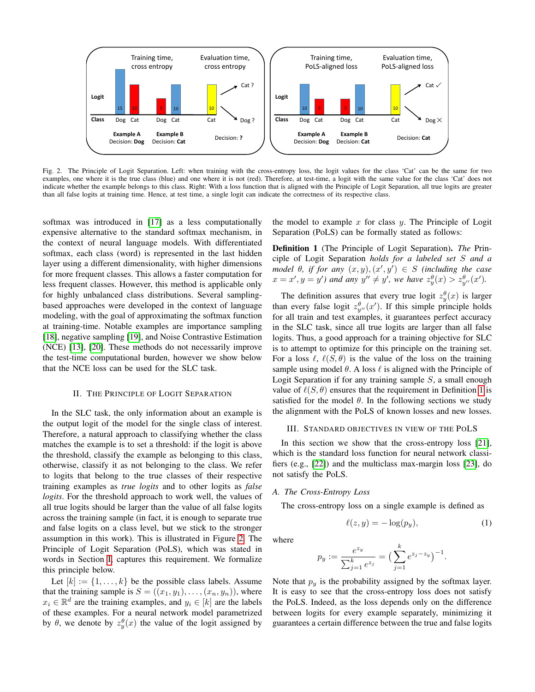

<span id="page-2-1"></span>Fig. 2. The Principle of Logit Separation. Left: when training with the cross-entropy loss, the logit values for the class 'Cat' can be the same for two examples, one where it is the true class (blue) and one where it is not (red). Therefore, at test-time, a logit with the same value for the class 'Cat' does not indicate whether the example belongs to this class. Right: With a loss function that is aligned with the Principle of Logit Separation, all true logits are greater than all false logits at training time. Hence, at test time, a single logit can indicate the correctness of its respective class.

softmax was introduced in [\[17\]](#page-9-15) as a less computationally expensive alternative to the standard softmax mechanism, in the context of neural language models. With differentiated softmax, each class (word) is represented in the last hidden layer using a different dimensionality, with higher dimensions for more frequent classes. This allows a faster computation for less frequent classes. However, this method is applicable only for highly unbalanced class distributions. Several samplingbased approaches were developed in the context of language modeling, with the goal of approximating the softmax function at training-time. Notable examples are importance sampling [\[18\]](#page-9-16), negative sampling [\[19\]](#page-9-17), and Noise Contrastive Estimation (NCE) [\[13\]](#page-9-11), [\[20\]](#page-9-18). These methods do not necessarily improve the test-time computational burden, however we show below that the NCE loss can be used for the SLC task.

## II. THE PRINCIPLE OF LOGIT SEPARATION

<span id="page-2-0"></span>In the SLC task, the only information about an example is the output logit of the model for the single class of interest. Therefore, a natural approach to classifying whether the class matches the example is to set a threshold: if the logit is above the threshold, classify the example as belonging to this class, otherwise, classify it as not belonging to the class. We refer to logits that belong to the true classes of their respective training examples as *true logits* and to other logits as *false logits*. For the threshold approach to work well, the values of all true logits should be larger than the value of all false logits across the training sample (in fact, it is enough to separate true and false logits on a class level, but we stick to the stronger assumption in this work). This is illustrated in Figure [2.](#page-2-1) The Principle of Logit Separation (PoLS), which was stated in words in Section [I,](#page-0-0) captures this requirement. We formalize this principle below.

Let  $[k] := \{1, \ldots, k\}$  be the possible class labels. Assume that the training sample is  $S = ((x_1, y_1), \ldots, (x_n, y_n))$ , where  $x_i \in \mathbb{R}^d$  are the training examples, and  $y_i \in [k]$  are the labels of these examples. For a neural network model parametrized by  $\theta$ , we denote by  $z_y^{\theta}(x)$  the value of the logit assigned by the model to example  $x$  for class  $y$ . The Principle of Logit Separation (PoLS) can be formally stated as follows:

<span id="page-2-2"></span>Definition 1 (The Principle of Logit Separation). *The* Principle of Logit Separation *holds for a labeled set* S *and a model*  $\theta$ *, if for any*  $(x, y), (x', y') \in S$  *(including the case*  $x = x', y = y'$  and any  $y'' \neq y'$ , we have  $z_y^{\theta}(x) > z_{y''}^{\theta}(x')$ .

The definition assures that every true logit  $z_y^{\theta}(x)$  is larger than every false logit  $z_{y''}^{\theta}(x')$ . If this simple principle holds for all train and test examples, it guarantees perfect accuracy in the SLC task, since all true logits are larger than all false logits. Thus, a good approach for a training objective for SLC is to attempt to optimize for this principle on the training set. For a loss  $\ell$ ,  $\ell(S, \theta)$  is the value of the loss on the training sample using model  $\theta$ . A loss  $\ell$  is aligned with the Principle of Logit Separation if for any training sample  $S$ , a small enough value of  $\ell(S, \theta)$  ensures that the requirement in Definition [1](#page-2-2) is satisfied for the model  $\theta$ . In the following sections we study the alignment with the PoLS of known losses and new losses.

#### <span id="page-2-4"></span>III. STANDARD OBJECTIVES IN VIEW OF THE POLS

In this section we show that the cross-entropy loss [\[21\]](#page-9-19), which is the standard loss function for neural network classifiers (e.g., [\[22\]](#page-9-20)) and the multiclass max-margin loss [\[23\]](#page-9-21), do not satisfy the PoLS.

## *A. The Cross-Entropy Loss*

The cross-entropy loss on a single example is defined as

<span id="page-2-3"></span>
$$
\ell(z, y) = -\log(p_y),\tag{1}
$$

where

$$
p_y := \frac{e^{z_y}}{\sum_{j=1}^k e^{z_j}} = \left(\sum_{j=1}^k e^{z_j - z_y}\right)^{-1}.
$$

Note that  $p_y$  is the probability assigned by the softmax layer. It is easy to see that the cross-entropy loss does not satisfy the PoLS. Indeed, as the loss depends only on the difference between logits for every example separately, minimizing it guarantees a certain difference between the true and false logits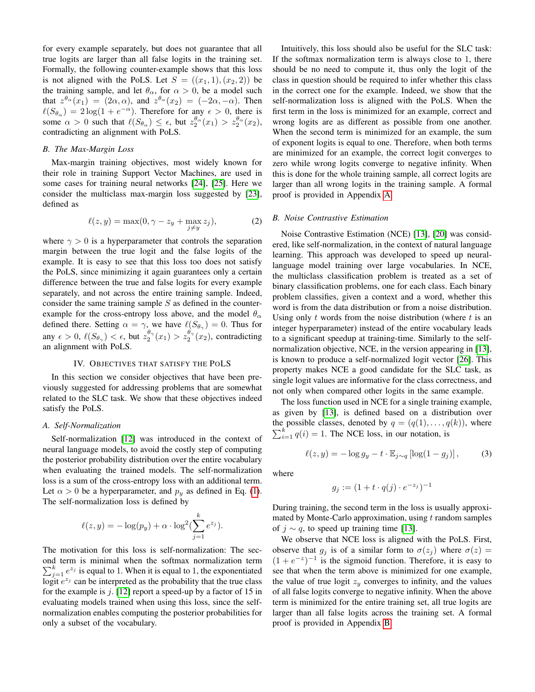for every example separately, but does not guarantee that all true logits are larger than all false logits in the training set. Formally, the following counter-example shows that this loss is not aligned with the PoLS. Let  $S = ((x_1, 1), (x_2, 2))$  be the training sample, and let  $\theta_{\alpha}$ , for  $\alpha > 0$ , be a model such that  $z^{\theta_{\alpha}}(x_1) = (2\alpha, \alpha)$ , and  $z^{\theta_{\alpha}}(x_2) = (-2\alpha, -\alpha)$ . Then  $\ell(S_{\theta_\alpha}) = 2 \log(1 + e^{-\alpha})$ . Therefore for any  $\epsilon > 0$ , there is some  $\alpha > 0$  such that  $\ell(S_{\theta_\alpha}) \leq \epsilon$ , but  $z_2^{\theta_\alpha}(x_1) > z_2^{\theta_\alpha}(x_2)$ , contradicting an alignment with PoLS.

# *B. The Max-Margin Loss*

Max-margin training objectives, most widely known for their role in training Support Vector Machines, are used in some cases for training neural networks [\[24\]](#page-9-22), [\[25\]](#page-9-23). Here we consider the multiclass max-margin loss suggested by [\[23\]](#page-9-21), defined as

<span id="page-3-0"></span>
$$
\ell(z, y) = \max(0, \gamma - z_y + \max_{j \neq y} z_j),
$$
 (2)

where  $\gamma > 0$  is a hyperparameter that controls the separation margin between the true logit and the false logits of the example. It is easy to see that this loss too does not satisfy the PoLS, since minimizing it again guarantees only a certain difference between the true and false logits for every example separately, and not across the entire training sample. Indeed, consider the same training sample  $S$  as defined in the counterexample for the cross-entropy loss above, and the model  $\theta_{\alpha}$ defined there. Setting  $\alpha = \gamma$ , we have  $\ell(S_{\theta_{\gamma}}) = 0$ . Thus for any  $\epsilon > 0$ ,  $\ell(S_{\theta_{\gamma}}) < \epsilon$ , but  $z_2^{\theta_{\gamma}}(x_1) > z_2^{\theta_{\gamma}}(x_2)$ , contradicting an alignment with PoLS.

# IV. OBJECTIVES THAT SATISFY THE POLS

<span id="page-3-1"></span>In this section we consider objectives that have been previously suggested for addressing problems that are somewhat related to the SLC task. We show that these objectives indeed satisfy the PoLS.

## *A. Self-Normalization*

Self-normalization [\[12\]](#page-9-10) was introduced in the context of neural language models, to avoid the costly step of computing the posterior probability distribution over the entire vocabulary when evaluating the trained models. The self-normalization loss is a sum of the cross-entropy loss with an additional term. Let  $\alpha > 0$  be a hyperparameter, and  $p_y$  as defined in Eq. [\(1\)](#page-2-3). The self-normalization loss is defined by

$$
\ell(z,y) = -\log(p_y) + \alpha \cdot \log^2(\sum_{j=1}^k e^{z_j}).
$$

The motivation for this loss is self-normalization: The second term is minimal when the softmax normalization term  $\sum_{j=1}^{k} e^{z_j}$  is equal to 1. When it is equal to 1, the exponentiated logit  $e^{z_j}$  can be interpreted as the probability that the true class for the example is j. [\[12\]](#page-9-10) report a speed-up by a factor of 15 in evaluating models trained when using this loss, since the selfnormalization enables computing the posterior probabilities for only a subset of the vocabulary.

Intuitively, this loss should also be useful for the SLC task: If the softmax normalization term is always close to 1, there should be no need to compute it, thus only the logit of the class in question should be required to infer whether this class in the correct one for the example. Indeed, we show that the self-normalization loss is aligned with the PoLS. When the first term in the loss is minimized for an example, correct and wrong logits are as different as possible from one another. When the second term is minimized for an example, the sum of exponent logits is equal to one. Therefore, when both terms are minimized for an example, the correct logit converges to zero while wrong logits converge to negative infinity. When this is done for the whole training sample, all correct logits are larger than all wrong logits in the training sample. A formal proof is provided in Appendix [A.](#page-8-0)

# *B. Noise Contrastive Estimation*

Noise Contrastive Estimation (NCE) [\[13\]](#page-9-11), [\[20\]](#page-9-18) was considered, like self-normalization, in the context of natural language learning. This approach was developed to speed up neurallanguage model training over large vocabularies. In NCE, the multiclass classification problem is treated as a set of binary classification problems, one for each class. Each binary problem classifies, given a context and a word, whether this word is from the data distribution or from a noise distribution. Using only  $t$  words from the noise distribution (where  $t$  is an integer hyperparameter) instead of the entire vocabulary leads to a significant speedup at training-time. Similarly to the selfnormalization objective, NCE, in the version appearing in [\[13\]](#page-9-11), is known to produce a self-normalized logit vector [\[26\]](#page-9-24). This property makes NCE a good candidate for the SLC task, as single logit values are informative for the class correctness, and not only when compared other logits in the same example.

The loss function used in NCE for a single training example, as given by [\[13\]](#page-9-11), is defined based on a distribution over the possible classes, denoted by  $q = (q(1), \ldots, q(k))$ , where  $\sum_{i=1}^{k} q(i) = 1$ . The NCE loss, in our notation, is

<span id="page-3-2"></span>
$$
\ell(z, y) = -\log g_y - t \cdot \mathbb{E}_{j \sim q} [\log(1 - g_j)], \tag{3}
$$

where

$$
g_j := (1 + t \cdot q(j) \cdot e^{-z_j})^{-1}
$$

During training, the second term in the loss is usually approximated by Monte-Carlo approximation, using  $t$  random samples of  $j \sim q$ , to speed up training time [\[13\]](#page-9-11).

We observe that NCE loss is aligned with the PoLS. First, observe that  $g_j$  is of a similar form to  $\sigma(z_j)$  where  $\sigma(z) =$  $(1 + e^{-z})^{-1}$  is the sigmoid function. Therefore, it is easy to see that when the term above is minimized for one example, the value of true logit  $z_y$  converges to infinity, and the values of all false logits converge to negative infinity. When the above term is minimized for the entire training set, all true logits are larger than all false logits across the training set. A formal proof is provided in Appendix [B.](#page-8-1)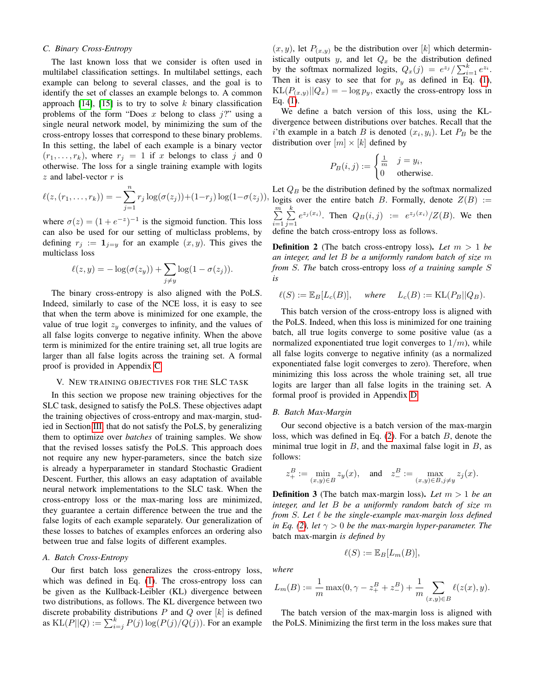# *C. Binary Cross-Entropy*

The last known loss that we consider is often used in multilabel classification settings. In multilabel settings, each example can belong to several classes, and the goal is to identify the set of classes an example belongs to. A common approach [\[14\]](#page-9-12), [\[15\]](#page-9-13) is to try to solve k binary classification problems of the form "Does  $x$  belong to class  $j$ ?" using a single neural network model, by minimizing the sum of the cross-entropy losses that correspond to these binary problems. In this setting, the label of each example is a binary vector  $(r_1, \ldots, r_k)$ , where  $r_j = 1$  if x belongs to class j and 0 otherwise. The loss for a single training example with logits  $z$  and label-vector  $r$  is

$$
\ell(z, (r_1, \ldots, r_k)) = -\sum_{j=1}^n r_j \log(\sigma(z_j)) + (1-r_j) \log(1-\sigma(z_j)),
$$

where  $\sigma(z) = (1 + e^{-z})^{-1}$  is the sigmoid function. This loss can also be used for our setting of multiclass problems, by defining  $r_j := \mathbf{1}_{j=y}$  for an example  $(x, y)$ . This gives the multiclass loss

$$
\ell(z,y) = -\log(\sigma(z_y)) + \sum_{j \neq y} \log(1 - \sigma(z_j)).
$$

The binary cross-entropy is also aligned with the PoLS. Indeed, similarly to case of the NCE loss, it is easy to see that when the term above is minimized for one example, the value of true logit  $z<sub>y</sub>$  converges to infinity, and the values of all false logits converge to negative infinity. When the above term is minimized for the entire training set, all true logits are larger than all false logits across the training set. A formal proof is provided in Appendix [C.](#page-8-2)

#### <span id="page-4-0"></span>V. NEW TRAINING OBJECTIVES FOR THE SLC TASK

In this section we propose new training objectives for the SLC task, designed to satisfy the PoLS. These objectives adapt the training objectives of cross-entropy and max-margin, studied in Section [III,](#page-2-4) that do not satisfy the PoLS, by generalizing them to optimize over *batches* of training samples. We show that the revised losses satisfy the PoLS. This approach does not require any new hyper-parameters, since the batch size is already a hyperparameter in standard Stochastic Gradient Descent. Further, this allows an easy adaptation of available neural network implementations to the SLC task. When the cross-entropy loss or the max-maring loss are minimized, they guarantee a certain difference between the true and the false logits of each example separately. Our generalization of these losses to batches of examples enforces an ordering also between true and false logits of different examples.

# *A. Batch Cross-Entropy*

Our first batch loss generalizes the cross-entropy loss, which was defined in Eq. [\(1\)](#page-2-3). The cross-entropy loss can be given as the Kullback-Leibler (KL) divergence between two distributions, as follows. The KL divergence between two discrete probability distributions  $P$  and  $Q$  over  $[k]$  is defined as  $KL(P||Q) := \sum_{i=j}^{k} P(j) \log(P(j)/Q(j))$ . For an example

 $(x, y)$ , let  $P_{(x,y)}$  be the distribution over [k] which deterministically outputs  $y$ , and let  $Q_x$  be the distribution defined by the softmax normalized logits,  $Q_x(j) = e^{z_j} / \sum_{i=1}^{k} e^{z_i}$ . Then it is easy to see that for  $p_y$  as defined in Eq. [\(1\)](#page-2-3),  $KL(P_{(x,y)}||Q_x) = -\log p_y$ , exactly the cross-entropy loss in Eq. [\(1\)](#page-2-3).

We define a batch version of this loss, using the KLdivergence between distributions over batches. Recall that the i'th example in a batch B is denoted  $(x_i, y_i)$ . Let  $P_B$  be the distribution over  $[m] \times [k]$  defined by

$$
P_B(i,j) := \begin{cases} \frac{1}{m} & j = y_i, \\ 0 & \text{otherwise.} \end{cases}
$$

Let  $Q_B$  be the distribution defined by the softmax normalized logits over the entire batch B. Formally, denote  $Z(B) :=$  $\sum_{i=1}^{m}$  $i=1$  $\sum_{i=1}^{k}$  $j=1$  $e^{z_j(x_i)}$ . Then  $Q_B(i,j) := e^{z_j(x_i)}/Z(B)$ . We then define the batch cross-entropy loss as follows.

<span id="page-4-1"></span>**Definition 2** (The batch cross-entropy loss). Let  $m > 1$  be *an integer, and let* B *be a uniformly random batch of size* m *from* S*. The* batch cross-entropy loss *of a training sample* S *is*

$$
\ell(S) := \mathbb{E}_B[L_c(B)], \quad \text{where} \quad L_c(B) := \text{KL}(P_B||Q_B).
$$

This batch version of the cross-entropy loss is aligned with the PoLS. Indeed, when this loss is minimized for one training batch, all true logits converge to some positive value (as a normalized exponentiated true logit converges to  $1/m$ , while all false logits converge to negative infinity (as a normalized exponentiated false logit converges to zero). Therefore, when minimizing this loss across the whole training set, all true logits are larger than all false logits in the training set. A formal proof is provided in Appendix [D.](#page-8-3)

# *B. Batch Max-Margin*

Our second objective is a batch version of the max-margin loss, which was defined in Eq. [\(2\)](#page-3-0). For a batch B, denote the minimal true logit in  $B$ , and the maximal false logit in  $B$ , as follows:

$$
z_+^B:=\min_{(x,y)\in B}z_y(x),\quad\text{and}\quad z_-^B:=\max_{(x,y)\in B, j\neq y}z_j(x).
$$

<span id="page-4-2"></span>**Definition 3** (The batch max-margin loss). Let  $m > 1$  be an *integer, and let* B *be a uniformly random batch of size* m *from S. Let*  $\ell$  *be the single-example max-margin loss defined in Eq. [\(2\)](#page-3-0), let*  $\gamma > 0$  *be the max-margin hyper-parameter. The* batch max-margin *is defined by*

$$
\ell(S) := \mathbb{E}_B[L_m(B)],
$$

*where*

$$
L_m(B) := \frac{1}{m} \max(0, \gamma - z_+^B + z_-^B) + \frac{1}{m} \sum_{(x,y) \in B} \ell(z(x), y).
$$

The batch version of the max-margin loss is aligned with the PoLS. Minimizing the first term in the loss makes sure that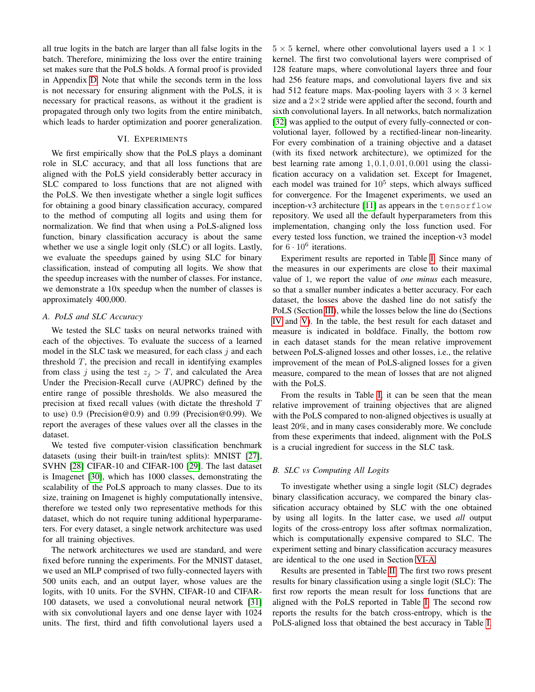all true logits in the batch are larger than all false logits in the batch. Therefore, minimizing the loss over the entire training set makes sure that the PoLS holds. A formal proof is provided in Appendix [D.](#page-8-3) Note that while the seconds term in the loss is not necessary for ensuring alignment with the PoLS, it is necessary for practical reasons, as without it the gradient is propagated through only two logits from the entire minibatch, which leads to harder optimization and poorer generalization.

# VI. EXPERIMENTS

<span id="page-5-0"></span>We first empirically show that the PoLS plays a dominant role in SLC accuracy, and that all loss functions that are aligned with the PoLS yield considerably better accuracy in SLC compared to loss functions that are not aligned with the PoLS. We then investigate whether a single logit suffices for obtaining a good binary classification accuracy, compared to the method of computing all logits and using them for normalization. We find that when using a PoLS-aligned loss function, binary classification accuracy is about the same whether we use a single logit only (SLC) or all logits. Lastly, we evaluate the speedups gained by using SLC for binary classification, instead of computing all logits. We show that the speedup increases with the number of classes. For instance, we demonstrate a 10x speedup when the number of classes is approximately 400,000.

# <span id="page-5-1"></span>*A. PoLS and SLC Accuracy*

We tested the SLC tasks on neural networks trained with each of the objectives. To evaluate the success of a learned model in the SLC task we measured, for each class  $j$  and each threshold  $T$ , the precision and recall in identifying examples from class j using the test  $z_i > T$ , and calculated the Area Under the Precision-Recall curve (AUPRC) defined by the entire range of possible thresholds. We also measured the precision at fixed recall values (with dictate the threshold T to use)  $0.9$  (Precision@0.9) and  $0.99$  (Precision@0.99). We report the averages of these values over all the classes in the dataset.

We tested five computer-vision classification benchmark datasets (using their built-in train/test splits): MNIST [\[27\]](#page-9-25), SVHN [\[28\]](#page-9-26) CIFAR-10 and CIFAR-100 [\[29\]](#page-9-27). The last dataset is Imagenet [\[30\]](#page-9-28), which has 1000 classes, demonstrating the scalability of the PoLS approach to many classes. Due to its size, training on Imagenet is highly computationally intensive, therefore we tested only two representative methods for this dataset, which do not require tuning additional hyperparameters. For every dataset, a single network architecture was used for all training objectives.

The network architectures we used are standard, and were fixed before running the experiments. For the MNIST dataset, we used an MLP comprised of two fully-connected layers with 500 units each, and an output layer, whose values are the logits, with 10 units. For the SVHN, CIFAR-10 and CIFAR-100 datasets, we used a convolutional neural network [\[31\]](#page-9-29) with six convolutional layers and one dense layer with 1024 units. The first, third and fifth convolutional layers used a  $5 \times 5$  kernel, where other convolutional layers used a  $1 \times 1$ kernel. The first two convolutional layers were comprised of 128 feature maps, where convolutional layers three and four had 256 feature maps, and convolutional layers five and six had 512 feature maps. Max-pooling layers with  $3 \times 3$  kernel size and a  $2\times 2$  stride were applied after the second, fourth and sixth convolutional layers. In all networks, batch normalization [\[32\]](#page-9-30) was applied to the output of every fully-connected or convolutional layer, followed by a rectified-linear non-linearity. For every combination of a training objective and a dataset (with its fixed network architecture), we optimized for the best learning rate among 1, 0.1, 0.01, 0.001 using the classification accuracy on a validation set. Except for Imagenet, each model was trained for  $10^5$  steps, which always sufficed for convergence. For the Imagenet experiments, we used an inception-v3 architecture [\[11\]](#page-9-9) as appears in the tensorflow repository. We used all the default hyperparameters from this implementation, changing only the loss function used. For every tested loss function, we trained the inception-v3 model for  $6 \cdot 10^6$  iterations.

Experiment results are reported in Table [I.](#page-6-0) Since many of the measures in our experiments are close to their maximal value of 1, we report the value of *one minus* each measure, so that a smaller number indicates a better accuracy. For each dataset, the losses above the dashed line do not satisfy the PoLS (Section [III\)](#page-2-4), while the losses below the line do (Sections [IV](#page-3-1) and [V\)](#page-4-0). In the table, the best result for each dataset and measure is indicated in boldface. Finally, the bottom row in each dataset stands for the mean relative improvement between PoLS-aligned losses and other losses, i.e., the relative improvement of the mean of PoLS-aligned losses for a given measure, compared to the mean of losses that are not aligned with the PoLS.

From the results in Table [I,](#page-6-0) it can be seen that the mean relative improvement of training objectives that are aligned with the PoLS compared to non-aligned objectives is usually at least 20%, and in many cases considerably more. We conclude from these experiments that indeed, alignment with the PoLS is a crucial ingredient for success in the SLC task.

# <span id="page-5-2"></span>*B. SLC vs Computing All Logits*

To investigate whether using a single logit (SLC) degrades binary classification accuracy, we compared the binary classification accuracy obtained by SLC with the one obtained by using all logits. In the latter case, we used *all* output logits of the cross-entropy loss after softmax normalization, which is computationally expensive compared to SLC. The experiment setting and binary classification accuracy measures are identical to the one used in Section [VI-A.](#page-5-1)

Results are presented in Table [II.](#page-7-0) The first two rows present results for binary classification using a single logit (SLC): The first row reports the mean result for loss functions that are aligned with the PoLS reported in Table [I.](#page-6-0) The second row reports the results for the batch cross-entropy, which is the PoLS-aligned loss that obtained the best accuracy in Table [I.](#page-6-0)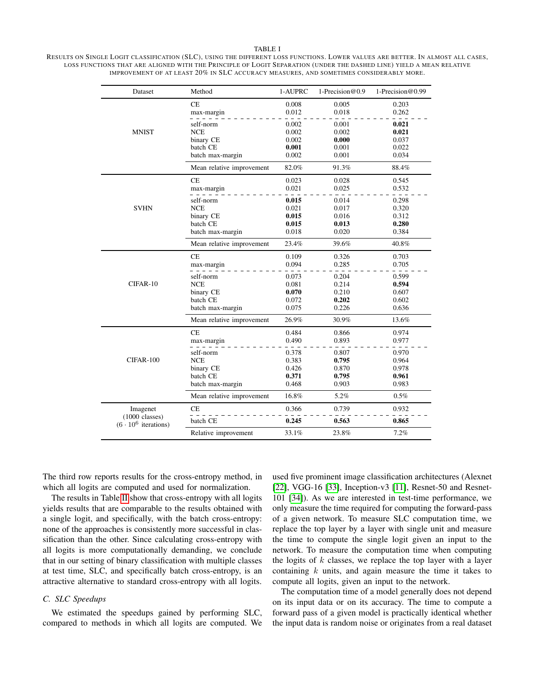#### TABLE I

<span id="page-6-0"></span>RESULTS ON SINGLE LOGIT CLASSIFICATION (SLC), USING THE DIFFERENT LOSS FUNCTIONS. LOWER VALUES ARE BETTER. IN ALMOST ALL CASES, LOSS FUNCTIONS THAT ARE ALIGNED WITH THE PRINCIPLE OF LOGIT SEPARATION (UNDER THE DASHED LINE) YIELD A MEAN RELATIVE IMPROVEMENT OF AT LEAST 20% IN SLC ACCURACY MEASURES, AND SOMETIMES CONSIDERABLY MORE.

| Dataset                                                             | Method                    | 1-AUPRC | 1-Precision@0.9 | 1-Precision@0.99 |
|---------------------------------------------------------------------|---------------------------|---------|-----------------|------------------|
|                                                                     | <b>CE</b>                 | 0.008   | 0.005           | 0.203            |
|                                                                     | max-margin                | 0.012   | 0.018           | 0.262            |
|                                                                     | self-norm                 | 0.002   | 0.001           | 0.021            |
| <b>MNIST</b>                                                        | <b>NCE</b>                | 0.002   | 0.002           | 0.021            |
|                                                                     | binary CE                 | 0.002   | 0.000           | 0.037            |
|                                                                     | batch CE                  | 0.001   | 0.001           | 0.022            |
|                                                                     | batch max-margin          | 0.002   | 0.001           | 0.034            |
|                                                                     | Mean relative improvement | 82.0%   | 91.3%           | 88.4%            |
|                                                                     | <b>CE</b>                 | 0.023   | 0.028           | 0.545            |
|                                                                     | max-margin                | 0.021   | 0.025           | 0.532            |
|                                                                     | self-norm                 | 0.015   | 0.014           | 0.298            |
| <b>SVHN</b>                                                         | <b>NCE</b>                | 0.021   | 0.017           | 0.320            |
|                                                                     | binary CE                 | 0.015   | 0.016           | 0.312            |
|                                                                     | batch CE                  | 0.015   | 0.013           | 0.280            |
|                                                                     | batch max-margin          | 0.018   | 0.020           | 0.384            |
|                                                                     | Mean relative improvement | 23.4%   | 39.6%           | 40.8%            |
|                                                                     | <b>CE</b>                 | 0.109   | 0.326           | 0.703            |
|                                                                     | max-margin                | 0.094   | 0.285           | 0.705            |
|                                                                     | self-norm                 | 0.073   | 0.204           | 0.599            |
| CIFAR-10                                                            | <b>NCE</b>                | 0.081   | 0.214           | 0.594            |
|                                                                     | binary CE                 | 0.070   | 0.210           | 0.607            |
|                                                                     | batch CE                  | 0.072   | 0.202           | 0.602            |
|                                                                     | batch max-margin          | 0.075   | 0.226           | 0.636            |
|                                                                     | Mean relative improvement | 26.9%   | 30.9%           | 13.6%            |
| CIFAR-100                                                           | CE                        | 0.484   | 0.866           | 0.974            |
|                                                                     | max-margin                | 0.490   | 0.893           | 0.977            |
|                                                                     | self-norm                 | 0.378   | 0.807           | 0.970            |
|                                                                     | <b>NCE</b>                | 0.383   | 0.795           | 0.964            |
|                                                                     | binary CE                 | 0.426   | 0.870           | 0.978            |
|                                                                     | batch CE                  | 0.371   | 0.795           | 0.961            |
|                                                                     | batch max-margin          | 0.468   | 0.903           | 0.983            |
|                                                                     | Mean relative improvement | 16.8%   | 5.2%            | 0.5%             |
| Imagenet<br>$(1000 \text{ classes})$<br>$(6 \cdot 10^6$ iterations) | CE                        | 0.366   | 0.739           | 0.932            |
|                                                                     | batch CE                  | 0.245   | 0.563           | 0.865            |
|                                                                     | Relative improvement      | 33.1%   | 23.8%           | 7.2%             |

The third row reports results for the cross-entropy method, in which all logits are computed and used for normalization.

The results in Table [II](#page-7-0) show that cross-entropy with all logits yields results that are comparable to the results obtained with a single logit, and specifically, with the batch cross-entropy: none of the approaches is consistently more successful in classification than the other. Since calculating cross-entropy with all logits is more computationally demanding, we conclude that in our setting of binary classification with multiple classes at test time, SLC, and specifically batch cross-entropy, is an attractive alternative to standard cross-entropy with all logits.

# *C. SLC Speedups*

We estimated the speedups gained by performing SLC, compared to methods in which all logits are computed. We used five prominent image classification architectures (Alexnet [\[22\]](#page-9-20), VGG-16 [\[33\]](#page-9-31), Inception-v3 [\[11\]](#page-9-9), Resnet-50 and Resnet-101 [\[34\]](#page-9-32)). As we are interested in test-time performance, we only measure the time required for computing the forward-pass of a given network. To measure SLC computation time, we replace the top layer by a layer with single unit and measure the time to compute the single logit given an input to the network. To measure the computation time when computing the logits of  $k$  classes, we replace the top layer with a layer containing  $k$  units, and again measure the time it takes to compute all logits, given an input to the network.

The computation time of a model generally does not depend on its input data or on its accuracy. The time to compute a forward pass of a given model is practically identical whether the input data is random noise or originates from a real dataset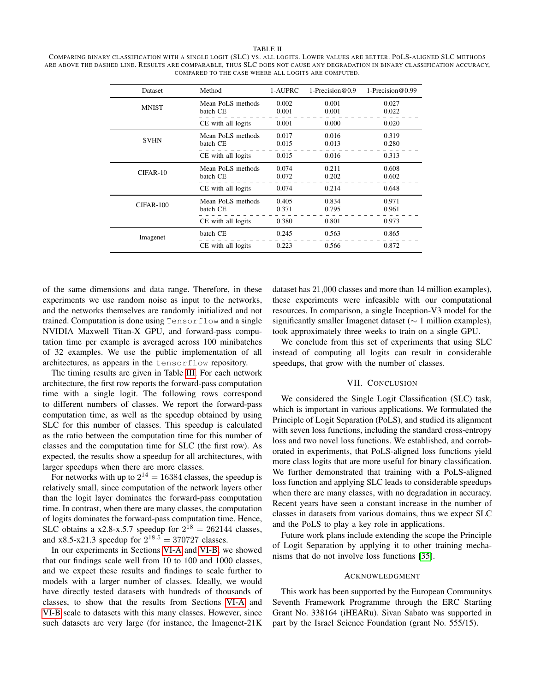#### TABLE II

<span id="page-7-0"></span>COMPARING BINARY CLASSIFICATION WITH A SINGLE LOGIT (SLC) VS. ALL LOGITS. LOWER VALUES ARE BETTER. POLS-ALIGNED SLC METHODS ARE ABOVE THE DASHED LINE. RESULTS ARE COMPARABLE, THUS SLC DOES NOT CAUSE ANY DEGRADATION IN BINARY CLASSIFICATION ACCURACY, COMPARED TO THE CASE WHERE ALL LOGITS ARE COMPUTED.

| Dataset      | Method                        | 1-AUPRC        | $1$ -Precision@0.9 | 1-Precision@0.99 |
|--------------|-------------------------------|----------------|--------------------|------------------|
| <b>MNIST</b> | Mean PoLS methods<br>batch CE | 0.002<br>0.001 | 0.001<br>0.001     | 0.027<br>0.022   |
|              | CE with all logits            | 0.001          | 0.000              | 0.020            |
| <b>SVHN</b>  | Mean PoLS methods<br>batch CE | 0.017<br>0.015 | 0.016<br>0.013     | 0.319<br>0.280   |
|              | CE with all logits            | 0.015          | 0.016              | 0.313            |
| CIFAR-10     | Mean PoLS methods<br>batch CE | 0.074<br>0.072 | 0.211<br>0.202     | 0.608<br>0.602   |
|              | CE with all logits            | 0.074          | 0.214              | 0.648            |
| $CIFAR-100$  | Mean PoLS methods<br>batch CE | 0.405<br>0.371 | 0.834<br>0.795     | 0.971<br>0.961   |
|              | CE with all logits            | 0.380          | 0.801              | 0.973            |
| Imagenet     | batch CE                      | 0.245          | 0.563              | 0.865            |
|              | CE with all logits            | 0.223          | 0.566              | 0.872            |

of the same dimensions and data range. Therefore, in these experiments we use random noise as input to the networks, and the networks themselves are randomly initialized and not trained. Computation is done using Tensorflow and a single NVIDIA Maxwell Titan-X GPU, and forward-pass computation time per example is averaged across 100 minibatches of 32 examples. We use the public implementation of all architectures, as appears in the tensorflow repository.

The timing results are given in Table [III.](#page-8-4) For each network architecture, the first row reports the forward-pass computation time with a single logit. The following rows correspond to different numbers of classes. We report the forward-pass computation time, as well as the speedup obtained by using SLC for this number of classes. This speedup is calculated as the ratio between the computation time for this number of classes and the computation time for SLC (the first row). As expected, the results show a speedup for all architectures, with larger speedups when there are more classes.

For networks with up to  $2^{14} = 16384$  classes, the speedup is relatively small, since computation of the network layers other than the logit layer dominates the forward-pass computation time. In contrast, when there are many classes, the computation of logits dominates the forward-pass computation time. Hence, SLC obtains a x2.8-x.5.7 speedup for  $2^{18} = 262144$  classes, and x8.5-x21.3 speedup for  $2^{18.5} = 370727$  classes.

In our experiments in Sections [VI-A](#page-5-1) and [VI-B,](#page-5-2) we showed that our findings scale well from 10 to 100 and 1000 classes, and we expect these results and findings to scale further to models with a larger number of classes. Ideally, we would have directly tested datasets with hundreds of thousands of classes, to show that the results from Sections [VI-A](#page-5-1) and [VI-B](#page-5-2) scale to datasets with this many classes. However, since such datasets are very large (for instance, the Imagenet-21K dataset has 21,000 classes and more than 14 million examples), these experiments were infeasible with our computational resources. In comparison, a single Inception-V3 model for the significantly smaller Imagenet dataset ( $\sim$  1 million examples), took approximately three weeks to train on a single GPU.

We conclude from this set of experiments that using SLC instead of computing all logits can result in considerable speedups, that grow with the number of classes.

# VII. CONCLUSION

We considered the Single Logit Classification (SLC) task, which is important in various applications. We formulated the Principle of Logit Separation (PoLS), and studied its alignment with seven loss functions, including the standard cross-entropy loss and two novel loss functions. We established, and corroborated in experiments, that PoLS-aligned loss functions yield more class logits that are more useful for binary classification. We further demonstrated that training with a PoLS-aligned loss function and applying SLC leads to considerable speedups when there are many classes, with no degradation in accuracy. Recent years have seen a constant increase in the number of classes in datasets from various domains, thus we expect SLC and the PoLS to play a key role in applications.

Future work plans include extending the scope the Principle of Logit Separation by applying it to other training mechanisms that do not involve loss functions [\[35\]](#page-9-33).

## ACKNOWLEDGMENT

This work has been supported by the European Communitys Seventh Framework Programme through the ERC Starting Grant No. 338164 (iHEARu). Sivan Sabato was supported in part by the Israel Science Foundation (grant No. 555/15).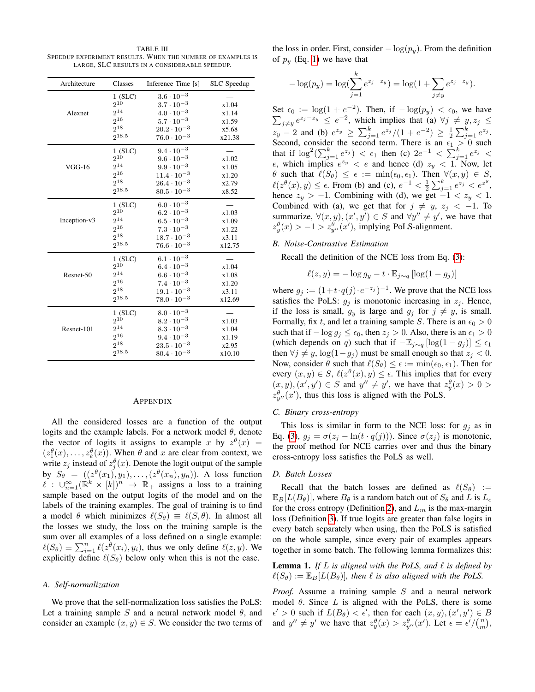<span id="page-8-4"></span>TABLE III SPEEDUP EXPERIMENT RESULTS. WHEN THE NUMBER OF EXAMPLES IS LARGE, SLC RESULTS IN A CONSIDERABLE SPEEDUP.

| Architecture | Classes                                                                 | Inference Time [s]                                                                                                                       | SLC Speedup                                |
|--------------|-------------------------------------------------------------------------|------------------------------------------------------------------------------------------------------------------------------------------|--------------------------------------------|
| Alexnet      | $1$ (SLC)<br>$2^{10}$<br>$2^{14}$<br>$2^{16}$<br>$2^{18}$<br>$2^{18.5}$ | $3.6 \cdot 10^{-3}$<br>$3.7 \cdot 10^{-3}$<br>$4.0 \cdot 10^{-3}$<br>$5.7 \cdot 10^{-3}$<br>$20.2 \cdot 10^{-3}$<br>$76.0 \cdot 10^{-3}$ | x1.04<br>x1.14<br>x1.59<br>x5.68<br>x21.38 |
| $VGG-16$     | $1$ (SLC)<br>$2^{10}$<br>$2^{14}$<br>$2^{16}$<br>$2^{18}$<br>218.5      | $9.4 \cdot 10^{-3}$<br>$9.6 \cdot 10^{-3}$<br>$9.9\cdot10^{-3}$<br>$11.4 \cdot 10^{-3}$<br>$26.4 \cdot 10^{-3}$<br>$80.5 \cdot 10^{-3}$  | x1.02<br>x1.05<br>x1.20<br>x2.79<br>x8.52  |
| Inception-v3 | $1$ (SLC)<br>$2^{10}$<br>$2^{14}$<br>$2^{16}$<br>$2^{18}$<br>$2^{18.5}$ | $6.0 \cdot 10^{-3}$<br>$6.2 \cdot 10^{-3}$<br>$6.5 \cdot 10^{-3}$<br>$7.3 \cdot 10^{-3}$<br>$18.7 \cdot 10^{-3}$<br>$76.6 \cdot 10^{-3}$ | x1.03<br>x1.09<br>x1.22<br>x3.11<br>x12.75 |
| Resnet-50    | $1$ (SLC)<br>$2^{10}$<br>$2^{14}$<br>$2^{16}$<br>$2^{18}$<br>$2^{18.5}$ | $6.1 \cdot 10^{-3}$<br>$6.4 \cdot 10^{-3}$<br>$6.6 \cdot 10^{-3}$<br>$7.4 \cdot 10^{-3}$<br>$19.1 \cdot 10^{-3}$<br>$78.0 \cdot 10^{-3}$ | x1.04<br>x1.08<br>x1.20<br>x3.11<br>x12.69 |
| Resnet-101   | 1(SLC)<br>$2^{10}$<br>$2^{14}$<br>$2^{16}$<br>$2^{18}$<br>218.5         | $8.0 \cdot 10^{-3}$<br>$8.2 \cdot 10^{-3}$<br>$8.3 \cdot 10^{-3}$<br>$9.4 \cdot 10^{-3}$<br>$23.5 \cdot 10^{-3}$<br>$80.4 \cdot 10^{-3}$ | x1.03<br>x1.04<br>x1.19<br>x2.95<br>x10.10 |

#### APPENDIX

All the considered losses are a function of the output logits and the example labels. For a network model  $\theta$ , denote the vector of logits it assigns to example x by  $z^{\theta}(x)$  =  $(z_1^{\theta}(x), \ldots, z_k^{\theta}(x))$ . When  $\theta$  and x are clear from context, we write  $z_j$  instead of  $z_j^{\theta}(x)$ . Denote the logit output of the sample by  $S_{\theta} = ((z^{\theta}(x_1), y_1), \dots, (z^{\theta}(x_n), y_n))$ . A loss function  $\ell : \cup_{n=1}^{\infty} (\mathbb{R}^k \times [k])^n \to \mathbb{R}_+$  assigns a loss to a training sample based on the output logits of the model and on the labels of the training examples. The goal of training is to find a model  $\theta$  which minimizes  $\ell(S_\theta) \equiv \ell(S, \theta)$ . In almost all the losses we study, the loss on the training sample is the sum over all examples of a loss defined on a single example:  $\ell(S_\theta) \equiv \sum_{i=1}^n \ell(z^{\hat{\theta}}(x_i), y_i)$ , thus we only define  $\ell(z, y)$ . We explicitly define  $\ell(S_\theta)$  below only when this is not the case.

## <span id="page-8-0"></span>*A. Self-normalization*

We prove that the self-normalization loss satisfies the PoLS: Let a training sample S and a neural network model  $\theta$ , and consider an example  $(x, y) \in S$ . We consider the two terms of the loss in order. First, consider  $-\log(p_y)$ . From the definition of  $p_u$  (Eq. [1\)](#page-2-3) we have that

$$
-\log(p_y) = \log(\sum_{j=1}^k e^{z_j - z_y}) = \log(1 + \sum_{j \neq y} e^{z_j - z_y}).
$$

Set  $\epsilon_0 := \log(1 + e^{-2})$ P ). Then, if  $-\log(p_y) < \epsilon_0$ , we have  $j \neq y e^{z_j - z_y} \leq e^{-2}$ , which implies that (a)  $\forall j \neq y, z_j \leq$  $z_y - 2$  and (b)  $e^{z_y} \ge \sum_{j=1}^k e^{z_j} / (1 + e^{-2}) \ge \frac{1}{2} \sum_{j=1}^k e^{z_j}$ . Second, consider the second term. There is an  $\epsilon_1 > 0$  such that if  $\log^2(\sum_{j=1}^k e^{z_j}) < \epsilon_1$  then (c)  $2e^{-1} < \sum_{j=1}^k e^{z_j} <$ e, which implies  $e^{z_y} < e$  and hence (d)  $z_y < 1$ . Now, let  $\theta$  such that  $\ell(S_\theta) \leq \epsilon := \min(\epsilon_0, \epsilon_1)$ . Then  $\forall (x, y) \in S$ ,  $\ell(z^{\theta}(x), y) \leq \epsilon$ . From (b) and (c),  $e^{-1} < \frac{1}{2} \sum_{j=1}^{k} e^{z_j} < e^{z^y}$ , hence  $z_y > -1$ . Combining with (d), we get  $-1 < z_y < 1$ . Combined with (a), we get that for  $j \neq y$ ,  $z_j < -1$ . To summarize,  $\forall (x, y), (x', y') \in S$  and  $\forall y'' \neq y'$ , we have that  $z_y^{\theta}(x) > -1 > z_{y''}^{\theta}(x')$ , implying PoLS-alignment.

## <span id="page-8-1"></span>*B. Noise-Contrastive Estimation*

Recall the definition of the NCE loss from Eq. [\(3\)](#page-3-2):

$$
\ell(z, y) = -\log g_y - t \cdot \mathbb{E}_{j \sim q} [\log(1 - g_j)]
$$

where  $g_j := (1 + t \cdot q(j) \cdot e^{-z_j})^{-1}$ . We prove that the NCE loss satisfies the PoLS:  $g_i$  is monotonic increasing in  $z_i$ . Hence, if the loss is small,  $g_y$  is large and  $g_j$  for  $j \neq y$ , is small. Formally, fix t, and let a training sample S. There is an  $\epsilon_0 > 0$ such that if  $-\log g_j \leq \epsilon_0$ , then  $z_j > 0$ . Also, there is an  $\epsilon_1 > 0$ (which depends on q) such that if  $-E_{i\sim q} [\log(1 - g_i)] \leq \epsilon_1$ then  $\forall j \neq y$ ,  $\log(1-g_j)$  must be small enough so that  $z_j < 0$ . Now, consider  $\theta$  such that  $\ell(S_\theta) \leq \epsilon := \min(\epsilon_0, \epsilon_1)$ . Then for every  $(x, y) \in S$ ,  $\ell(z^{\theta}(x), y) \leq \epsilon$ . This implies that for every  $(x, y), (x', y') \in S$  and  $y'' \neq y'$ , we have that  $z_y^{\theta}(x) > 0$  $z_{y''}^{\theta}(x')$ , thus this loss is aligned with the PoLS.

# <span id="page-8-2"></span>*C. Binary cross-entropy*

This loss is similar in form to the NCE loss: for  $g_j$  as in Eq. [\(3\)](#page-3-2),  $g_j = \sigma(z_j - \ln(t \cdot q(j)))$ . Since  $\sigma(z_j)$  is monotonic, the proof method for NCE carries over and thus the binary cross-entropy loss satisfies the PoLS as well.

# <span id="page-8-3"></span>*D. Batch Losses*

Recall that the batch losses are defined as  $\ell(S_\theta) :=$  $\mathbb{E}_B[L(B_\theta)]$ , where  $B_\theta$  is a random batch out of  $S_\theta$  and L is  $L_c$ for the cross entropy (Definition [2\)](#page-4-1), and  $L_m$  is the max-margin loss (Definition [3\)](#page-4-2). If true logits are greater than false logits in every batch separately when using, then the PoLS is satisfied on the whole sample, since every pair of examples appears together in some batch. The following lemma formalizes this:

<span id="page-8-5"></span>**Lemma 1.** If  $L$  *is aligned with the PoLS, and*  $\ell$  *is defined by*  $\ell(S_{\theta}) := \mathbb{E}_{B}[L(B_{\theta})]$ , then  $\ell$  is also aligned with the PoLS.

*Proof.* Assume a training sample S and a neural network model  $\theta$ . Since L is aligned with the PoLS, there is some  $\epsilon' > 0$  such if  $L(B_\theta) < \epsilon'$ , then for each  $(x, y), (x', y') \in B$ and  $y'' \neq y'$  we have that  $z_y^{\theta}(x) > z_{y''}^{\theta}(x')$ . Let  $\epsilon = \epsilon'/\binom{n}{m}$ ,